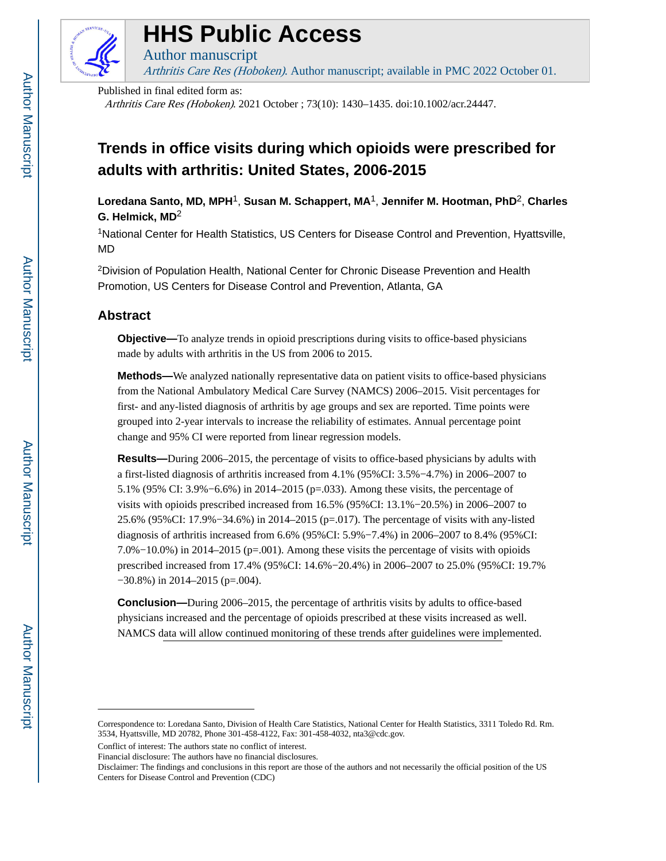

# **HHS Public Access**

Author manuscript Arthritis Care Res (Hoboken). Author manuscript; available in PMC 2022 October 01.

Published in final edited form as:

Arthritis Care Res (Hoboken). 2021 October ; 73(10): 1430–1435. doi:10.1002/acr.24447.

# **Trends in office visits during which opioids were prescribed for adults with arthritis: United States, 2006-2015**

**Loredana Santo, MD, MPH**1, **Susan M. Schappert, MA**1, **Jennifer M. Hootman, PhD**2, **Charles G. Helmick, MD**<sup>2</sup>

<sup>1</sup>National Center for Health Statistics, US Centers for Disease Control and Prevention, Hyattsville, MD

<sup>2</sup>Division of Population Health, National Center for Chronic Disease Prevention and Health Promotion, US Centers for Disease Control and Prevention, Atlanta, GA

# **Abstract**

**Objective—**To analyze trends in opioid prescriptions during visits to office-based physicians made by adults with arthritis in the US from 2006 to 2015.

**Methods—**We analyzed nationally representative data on patient visits to office-based physicians from the National Ambulatory Medical Care Survey (NAMCS) 2006–2015. Visit percentages for first- and any-listed diagnosis of arthritis by age groups and sex are reported. Time points were grouped into 2-year intervals to increase the reliability of estimates. Annual percentage point change and 95% CI were reported from linear regression models.

**Results—**During 2006–2015, the percentage of visits to office-based physicians by adults with a first-listed diagnosis of arthritis increased from 4.1% (95%CI: 3.5%−4.7%) in 2006–2007 to 5.1% (95% CI: 3.9%−6.6%) in 2014–2015 (p=.033). Among these visits, the percentage of visits with opioids prescribed increased from 16.5% (95%CI: 13.1%−20.5%) in 2006–2007 to 25.6% (95%CI: 17.9%−34.6%) in 2014–2015 (p=.017). The percentage of visits with any-listed diagnosis of arthritis increased from 6.6% (95%CI: 5.9%−7.4%) in 2006–2007 to 8.4% (95%CI: 7.0%−10.0%) in 2014–2015 (p=.001). Among these visits the percentage of visits with opioids prescribed increased from 17.4% (95%CI: 14.6%−20.4%) in 2006–2007 to 25.0% (95%CI: 19.7% −30.8%) in 2014–2015 (p=.004).

**Conclusion—**During 2006–2015, the percentage of arthritis visits by adults to office-based physicians increased and the percentage of opioids prescribed at these visits increased as well. NAMCS data will allow continued monitoring of these trends after guidelines were implemented.

Conflict of interest: The authors state no conflict of interest.

Correspondence to: Loredana Santo, Division of Health Care Statistics, National Center for Health Statistics, 3311 Toledo Rd. Rm. 3534, Hyattsville, MD 20782, Phone 301-458-4122, Fax: 301-458-4032, nta3@cdc.gov.

Financial disclosure: The authors have no financial disclosures.

Disclaimer: The findings and conclusions in this report are those of the authors and not necessarily the official position of the US Centers for Disease Control and Prevention (CDC)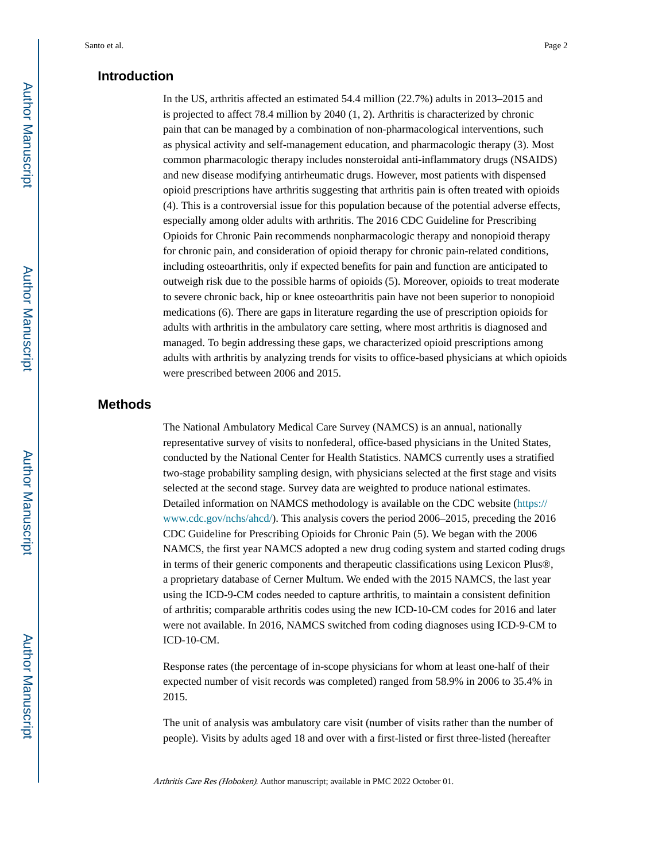# **Introduction**

In the US, arthritis affected an estimated 54.4 million (22.7%) adults in 2013–2015 and is projected to affect 78.4 million by 2040 (1, 2). Arthritis is characterized by chronic pain that can be managed by a combination of non-pharmacological interventions, such as physical activity and self-management education, and pharmacologic therapy (3). Most common pharmacologic therapy includes nonsteroidal anti-inflammatory drugs (NSAIDS) and new disease modifying antirheumatic drugs. However, most patients with dispensed opioid prescriptions have arthritis suggesting that arthritis pain is often treated with opioids (4). This is a controversial issue for this population because of the potential adverse effects, especially among older adults with arthritis. The 2016 CDC Guideline for Prescribing Opioids for Chronic Pain recommends nonpharmacologic therapy and nonopioid therapy for chronic pain, and consideration of opioid therapy for chronic pain-related conditions, including osteoarthritis, only if expected benefits for pain and function are anticipated to outweigh risk due to the possible harms of opioids (5). Moreover, opioids to treat moderate to severe chronic back, hip or knee osteoarthritis pain have not been superior to nonopioid medications (6). There are gaps in literature regarding the use of prescription opioids for adults with arthritis in the ambulatory care setting, where most arthritis is diagnosed and managed. To begin addressing these gaps, we characterized opioid prescriptions among adults with arthritis by analyzing trends for visits to office-based physicians at which opioids were prescribed between 2006 and 2015.

### **Methods**

The National Ambulatory Medical Care Survey (NAMCS) is an annual, nationally representative survey of visits to nonfederal, office-based physicians in the United States, conducted by the National Center for Health Statistics. NAMCS currently uses a stratified two-stage probability sampling design, with physicians selected at the first stage and visits selected at the second stage. Survey data are weighted to produce national estimates. Detailed information on NAMCS methodology is available on the CDC website ([https://](https://www.cdc.gov/nchs/ahcd/) [www.cdc.gov/nchs/ahcd/](https://www.cdc.gov/nchs/ahcd/)). This analysis covers the period 2006–2015, preceding the 2016 CDC Guideline for Prescribing Opioids for Chronic Pain (5). We began with the 2006 NAMCS, the first year NAMCS adopted a new drug coding system and started coding drugs in terms of their generic components and therapeutic classifications using Lexicon Plus®, a proprietary database of Cerner Multum. We ended with the 2015 NAMCS, the last year using the ICD-9-CM codes needed to capture arthritis, to maintain a consistent definition of arthritis; comparable arthritis codes using the new ICD-10-CM codes for 2016 and later were not available. In 2016, NAMCS switched from coding diagnoses using ICD-9-CM to ICD-10-CM.

Response rates (the percentage of in-scope physicians for whom at least one-half of their expected number of visit records was completed) ranged from 58.9% in 2006 to 35.4% in 2015.

The unit of analysis was ambulatory care visit (number of visits rather than the number of people). Visits by adults aged 18 and over with a first-listed or first three-listed (hereafter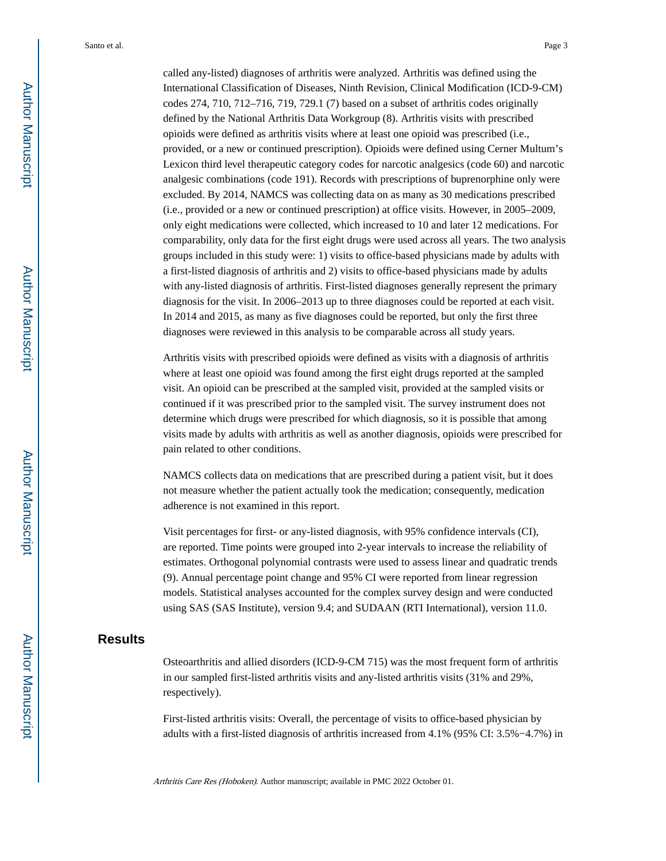called any-listed) diagnoses of arthritis were analyzed. Arthritis was defined using the International Classification of Diseases, Ninth Revision, Clinical Modification (ICD-9-CM) codes 274, 710, 712–716, 719, 729.1 (7) based on a subset of arthritis codes originally defined by the National Arthritis Data Workgroup (8). Arthritis visits with prescribed opioids were defined as arthritis visits where at least one opioid was prescribed (i.e., provided, or a new or continued prescription). Opioids were defined using Cerner Multum's Lexicon third level therapeutic category codes for narcotic analgesics (code 60) and narcotic analgesic combinations (code 191). Records with prescriptions of buprenorphine only were excluded. By 2014, NAMCS was collecting data on as many as 30 medications prescribed (i.e., provided or a new or continued prescription) at office visits. However, in 2005–2009, only eight medications were collected, which increased to 10 and later 12 medications. For comparability, only data for the first eight drugs were used across all years. The two analysis groups included in this study were: 1) visits to office-based physicians made by adults with a first-listed diagnosis of arthritis and 2) visits to office-based physicians made by adults with any-listed diagnosis of arthritis. First-listed diagnoses generally represent the primary diagnosis for the visit. In 2006–2013 up to three diagnoses could be reported at each visit. In 2014 and 2015, as many as five diagnoses could be reported, but only the first three diagnoses were reviewed in this analysis to be comparable across all study years.

Arthritis visits with prescribed opioids were defined as visits with a diagnosis of arthritis where at least one opioid was found among the first eight drugs reported at the sampled visit. An opioid can be prescribed at the sampled visit, provided at the sampled visits or continued if it was prescribed prior to the sampled visit. The survey instrument does not determine which drugs were prescribed for which diagnosis, so it is possible that among visits made by adults with arthritis as well as another diagnosis, opioids were prescribed for pain related to other conditions.

NAMCS collects data on medications that are prescribed during a patient visit, but it does not measure whether the patient actually took the medication; consequently, medication adherence is not examined in this report.

Visit percentages for first- or any-listed diagnosis, with 95% confidence intervals (CI), are reported. Time points were grouped into 2-year intervals to increase the reliability of estimates. Orthogonal polynomial contrasts were used to assess linear and quadratic trends (9). Annual percentage point change and 95% CI were reported from linear regression models. Statistical analyses accounted for the complex survey design and were conducted using SAS (SAS Institute), version 9.4; and SUDAAN (RTI International), version 11.0.

# **Results**

Osteoarthritis and allied disorders (ICD-9-CM 715) was the most frequent form of arthritis in our sampled first-listed arthritis visits and any-listed arthritis visits (31% and 29%, respectively).

First-listed arthritis visits: Overall, the percentage of visits to office-based physician by adults with a first-listed diagnosis of arthritis increased from 4.1% (95% CI: 3.5%−4.7%) in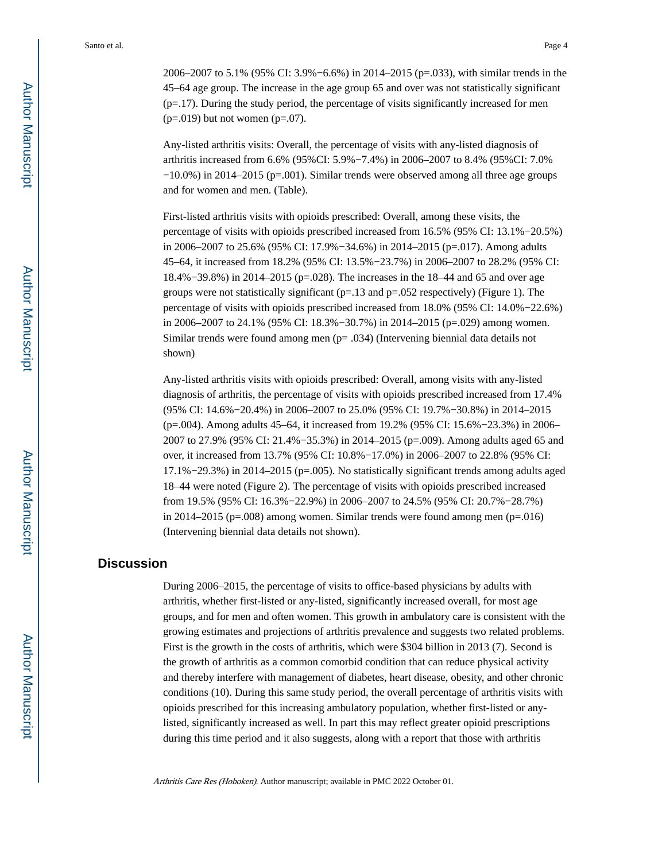2006–2007 to 5.1% (95% CI: 3.9%−6.6%) in 2014–2015 (p=.033), with similar trends in the 45–64 age group. The increase in the age group 65 and over was not statistically significant  $(p=17)$ . During the study period, the percentage of visits significantly increased for men  $(p=.019)$  but not women  $(p=.07)$ .

Any-listed arthritis visits: Overall, the percentage of visits with any-listed diagnosis of arthritis increased from 6.6% (95%CI: 5.9%−7.4%) in 2006–2007 to 8.4% (95%CI: 7.0% −10.0%) in 2014–2015 (p=.001). Similar trends were observed among all three age groups and for women and men. (Table).

First-listed arthritis visits with opioids prescribed: Overall, among these visits, the percentage of visits with opioids prescribed increased from 16.5% (95% CI: 13.1%−20.5%) in 2006–2007 to 25.6% (95% CI: 17.9%−34.6%) in 2014–2015 (p=.017). Among adults 45–64, it increased from 18.2% (95% CI: 13.5%−23.7%) in 2006–2007 to 28.2% (95% CI: 18.4%−39.8%) in 2014–2015 (p=.028). The increases in the 18–44 and 65 and over age groups were not statistically significant  $(p=.13$  and  $p=.052$  respectively) (Figure 1). The percentage of visits with opioids prescribed increased from 18.0% (95% CI: 14.0%−22.6%) in 2006–2007 to 24.1% (95% CI: 18.3%−30.7%) in 2014–2015 (p=.029) among women. Similar trends were found among men (p= .034) (Intervening biennial data details not shown)

Any-listed arthritis visits with opioids prescribed: Overall, among visits with any-listed diagnosis of arthritis, the percentage of visits with opioids prescribed increased from 17.4% (95% CI: 14.6%−20.4%) in 2006–2007 to 25.0% (95% CI: 19.7%−30.8%) in 2014–2015 (p=.004). Among adults 45–64, it increased from 19.2% (95% CI: 15.6%−23.3%) in 2006– 2007 to 27.9% (95% CI: 21.4%−35.3%) in 2014–2015 (p=.009). Among adults aged 65 and over, it increased from 13.7% (95% CI: 10.8%−17.0%) in 2006–2007 to 22.8% (95% CI: 17.1%−29.3%) in 2014–2015 (p=.005). No statistically significant trends among adults aged 18–44 were noted (Figure 2). The percentage of visits with opioids prescribed increased from 19.5% (95% CI: 16.3%−22.9%) in 2006–2007 to 24.5% (95% CI: 20.7%−28.7%) in 2014–2015 ( $p=.008$ ) among women. Similar trends were found among men ( $p=.016$ ) (Intervening biennial data details not shown).

# **Discussion**

During 2006–2015, the percentage of visits to office-based physicians by adults with arthritis, whether first-listed or any-listed, significantly increased overall, for most age groups, and for men and often women. This growth in ambulatory care is consistent with the growing estimates and projections of arthritis prevalence and suggests two related problems. First is the growth in the costs of arthritis, which were \$304 billion in 2013 (7). Second is the growth of arthritis as a common comorbid condition that can reduce physical activity and thereby interfere with management of diabetes, heart disease, obesity, and other chronic conditions (10). During this same study period, the overall percentage of arthritis visits with opioids prescribed for this increasing ambulatory population, whether first-listed or anylisted, significantly increased as well. In part this may reflect greater opioid prescriptions during this time period and it also suggests, along with a report that those with arthritis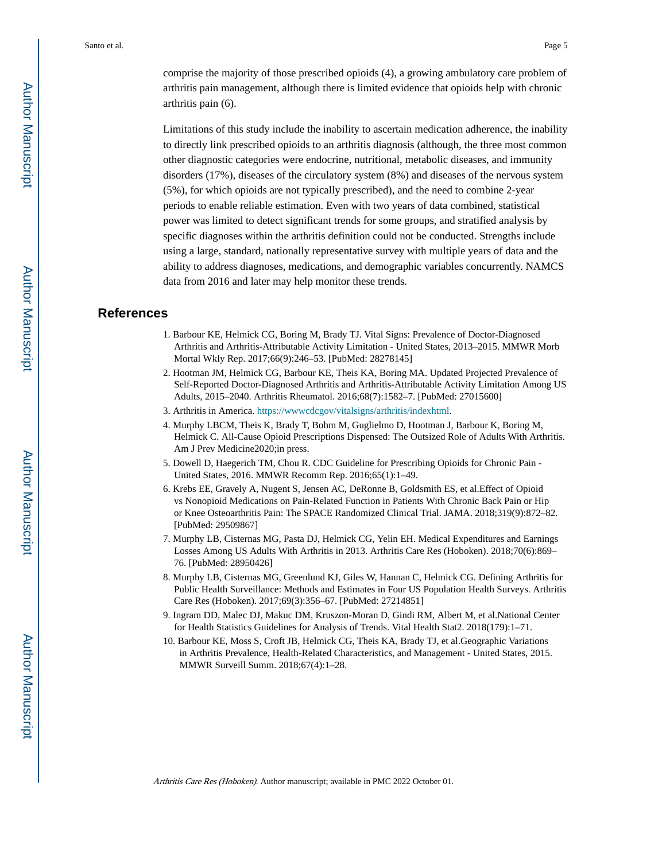comprise the majority of those prescribed opioids (4), a growing ambulatory care problem of arthritis pain management, although there is limited evidence that opioids help with chronic arthritis pain (6).

Limitations of this study include the inability to ascertain medication adherence, the inability to directly link prescribed opioids to an arthritis diagnosis (although, the three most common other diagnostic categories were endocrine, nutritional, metabolic diseases, and immunity disorders (17%), diseases of the circulatory system (8%) and diseases of the nervous system (5%), for which opioids are not typically prescribed), and the need to combine 2-year periods to enable reliable estimation. Even with two years of data combined, statistical power was limited to detect significant trends for some groups, and stratified analysis by specific diagnoses within the arthritis definition could not be conducted. Strengths include using a large, standard, nationally representative survey with multiple years of data and the ability to address diagnoses, medications, and demographic variables concurrently. NAMCS data from 2016 and later may help monitor these trends.

#### **References**

- 1. Barbour KE, Helmick CG, Boring M, Brady TJ. Vital Signs: Prevalence of Doctor-Diagnosed Arthritis and Arthritis-Attributable Activity Limitation - United States, 2013–2015. MMWR Morb Mortal Wkly Rep. 2017;66(9):246–53. [PubMed: 28278145]
- 2. Hootman JM, Helmick CG, Barbour KE, Theis KA, Boring MA. Updated Projected Prevalence of Self-Reported Doctor-Diagnosed Arthritis and Arthritis-Attributable Activity Limitation Among US Adults, 2015–2040. Arthritis Rheumatol. 2016;68(7):1582–7. [PubMed: 27015600]
- 3. Arthritis in America.<https://wwwcdcgov/vitalsigns/arthritis/indexhtml>.
- 4. Murphy LBCM, Theis K, Brady T, Bohm M, Guglielmo D, Hootman J, Barbour K, Boring M, Helmick C. All-Cause Opioid Prescriptions Dispensed: The Outsized Role of Adults With Arthritis. Am J Prev Medicine2020;in press.
- 5. Dowell D, Haegerich TM, Chou R. CDC Guideline for Prescribing Opioids for Chronic Pain United States, 2016. MMWR Recomm Rep. 2016;65(1):1–49.
- 6. Krebs EE, Gravely A, Nugent S, Jensen AC, DeRonne B, Goldsmith ES, et al.Effect of Opioid vs Nonopioid Medications on Pain-Related Function in Patients With Chronic Back Pain or Hip or Knee Osteoarthritis Pain: The SPACE Randomized Clinical Trial. JAMA. 2018;319(9):872–82. [PubMed: 29509867]
- 7. Murphy LB, Cisternas MG, Pasta DJ, Helmick CG, Yelin EH. Medical Expenditures and Earnings Losses Among US Adults With Arthritis in 2013. Arthritis Care Res (Hoboken). 2018;70(6):869– 76. [PubMed: 28950426]
- 8. Murphy LB, Cisternas MG, Greenlund KJ, Giles W, Hannan C, Helmick CG. Defining Arthritis for Public Health Surveillance: Methods and Estimates in Four US Population Health Surveys. Arthritis Care Res (Hoboken). 2017;69(3):356–67. [PubMed: 27214851]
- 9. Ingram DD, Malec DJ, Makuc DM, Kruszon-Moran D, Gindi RM, Albert M, et al.National Center for Health Statistics Guidelines for Analysis of Trends. Vital Health Stat2. 2018(179):1–71.
- 10. Barbour KE, Moss S, Croft JB, Helmick CG, Theis KA, Brady TJ, et al.Geographic Variations in Arthritis Prevalence, Health-Related Characteristics, and Management - United States, 2015. MMWR Surveill Summ. 2018;67(4):1–28.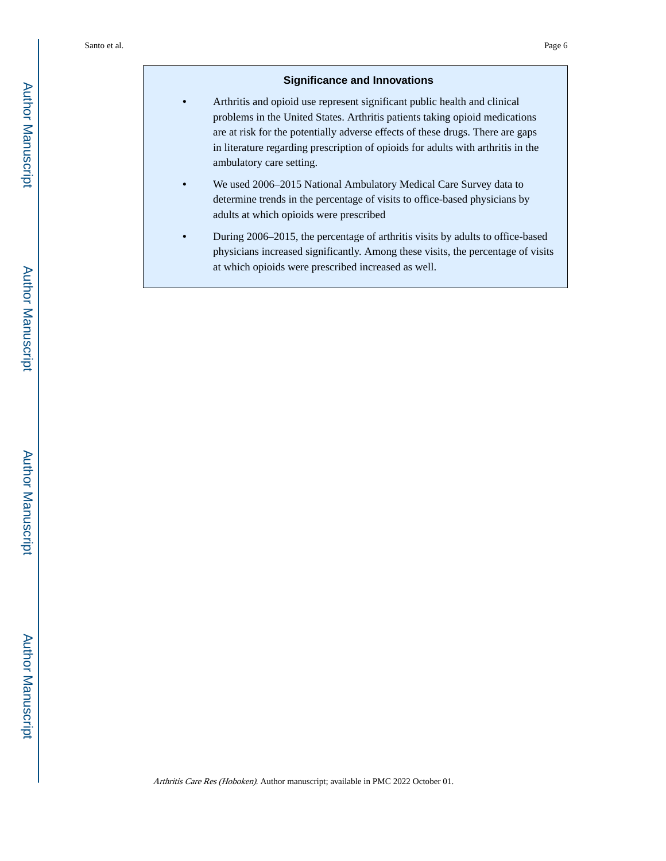### **Significance and Innovations**

- **•** Arthritis and opioid use represent significant public health and clinical problems in the United States. Arthritis patients taking opioid medications are at risk for the potentially adverse effects of these drugs. There are gaps in literature regarding prescription of opioids for adults with arthritis in the ambulatory care setting.
- **•** We used 2006–2015 National Ambulatory Medical Care Survey data to determine trends in the percentage of visits to office-based physicians by adults at which opioids were prescribed
- **•** During 2006–2015, the percentage of arthritis visits by adults to office-based physicians increased significantly. Among these visits, the percentage of visits at which opioids were prescribed increased as well.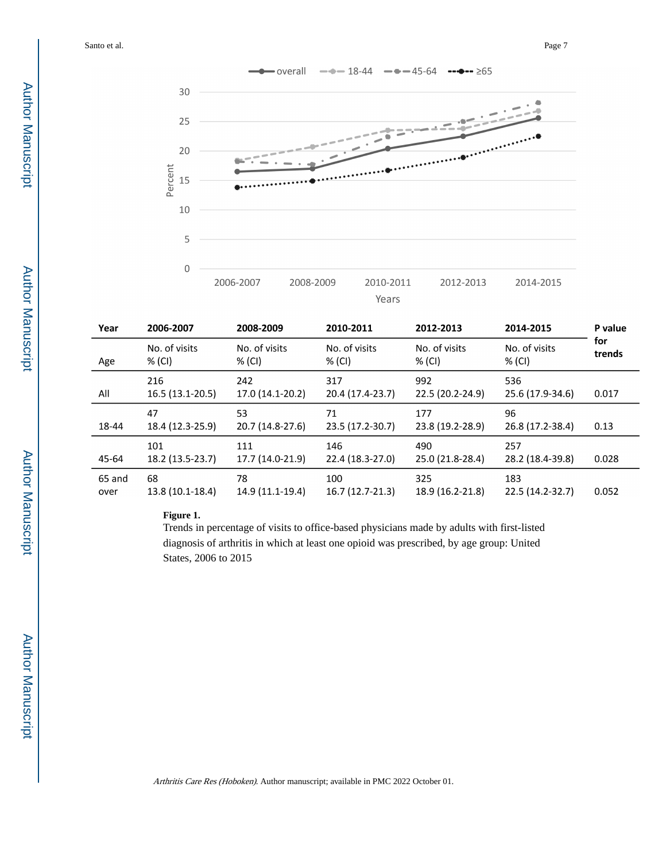

| Year           | 2006-2007               | 2008-2009               | 2010-2011               | 2012-2013               | 2014-2015               | P value<br>for<br>trends |  |
|----------------|-------------------------|-------------------------|-------------------------|-------------------------|-------------------------|--------------------------|--|
| Age            | No. of visits<br>% (CI) | No. of visits<br>% (CI) | No. of visits<br>% (CI) | No. of visits<br>% (CI) | No. of visits<br>% (CI) |                          |  |
| All            | 216<br>16.5 (13.1-20.5) | 242<br>17.0 (14.1-20.2) | 317<br>20.4 (17.4-23.7) | 992<br>22.5 (20.2-24.9) | 536<br>25.6 (17.9-34.6) | 0.017                    |  |
| 18-44          | 47<br>18.4 (12.3-25.9)  | 53<br>20.7 (14.8-27.6)  | 71<br>23.5 (17.2-30.7)  | 177<br>23.8 (19.2-28.9) | 96<br>26.8 (17.2-38.4)  | 0.13                     |  |
| 45-64          | 101<br>18.2 (13.5-23.7) | 111<br>17.7 (14.0-21.9) | 146<br>22.4 (18.3-27.0) | 490<br>25.0 (21.8-28.4) | 257<br>28.2 (18.4-39.8) | 0.028                    |  |
| 65 and<br>over | 68<br>13.8 (10.1-18.4)  | 78<br>14.9 (11.1-19.4)  | 100<br>16.7 (12.7-21.3) | 325<br>18.9 (16.2-21.8) | 183<br>22.5 (14.2-32.7) | 0.052                    |  |

# **Figure 1.**

Trends in percentage of visits to office-based physicians made by adults with first-listed diagnosis of arthritis in which at least one opioid was prescribed, by age group: United States, 2006 to 2015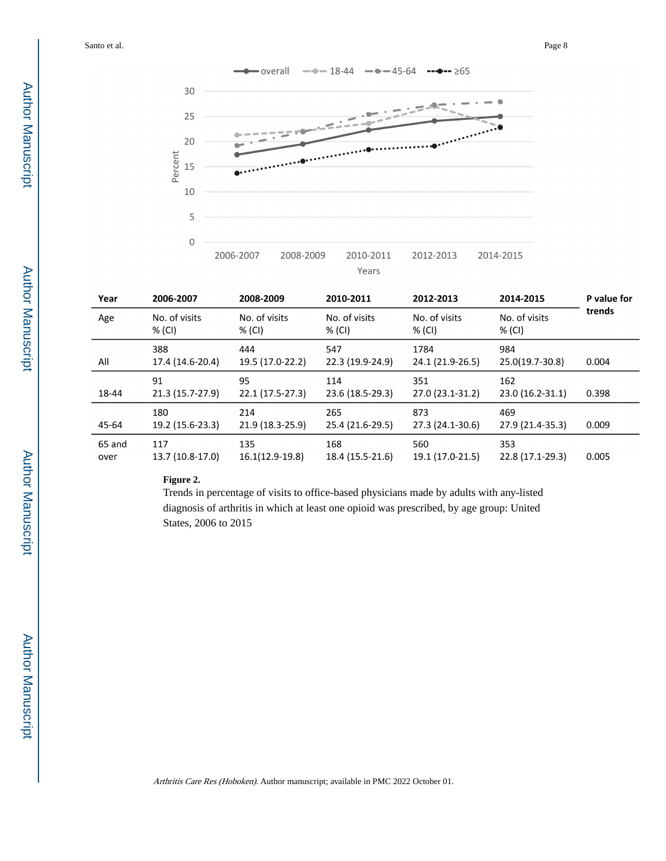

| Year           | 2006-2007                                          | 2008-2009               | 2010-2011               | 2012-2013                | 2014-2015               | P value for |  |
|----------------|----------------------------------------------------|-------------------------|-------------------------|--------------------------|-------------------------|-------------|--|
| Age            | No. of visits<br>No. of visits<br>% (CI)<br>% (CI) |                         | No. of visits<br>% (CI) | No. of visits<br>% (CI)  | No. of visits<br>% (CI) | trends      |  |
| All            | 388<br>17.4 (14.6-20.4)                            | 444<br>19.5 (17.0-22.2) | 547<br>22.3 (19.9-24.9) | 1784<br>24.1 (21.9-26.5) | 984<br>25.0(19.7-30.8)  | 0.004       |  |
| 18-44          | 91<br>21.3 (15.7-27.9)                             | 95<br>22.1 (17.5-27.3)  | 114<br>23.6 (18.5-29.3) | 351<br>27.0 (23.1-31.2)  | 162<br>23.0 (16.2-31.1) | 0.398       |  |
| 45-64          | 180<br>19.2 (15.6-23.3)                            | 214<br>21.9 (18.3-25.9) | 265<br>25.4 (21.6-29.5) | 873<br>27.3 (24.1-30.6)  | 469<br>27.9 (21.4-35.3) | 0.009       |  |
| 65 and<br>over | 117<br>13.7 (10.8-17.0)                            | 135<br>16.1(12.9-19.8)  | 168<br>18.4 (15.5-21.6) | 560<br>19.1 (17.0-21.5)  | 353<br>22.8 (17.1-29.3) | 0.005       |  |

#### **Figure 2.**

Trends in percentage of visits to office-based physicians made by adults with any-listed diagnosis of arthritis in which at least one opioid was prescribed, by age group: United States, 2006 to 2015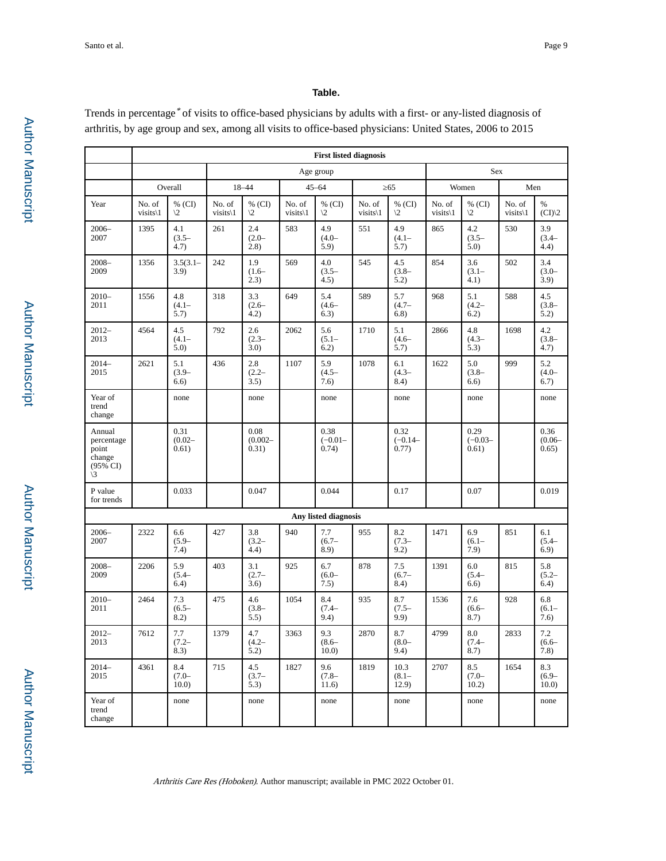## **Table.**

Trends in percentage<sup>\*</sup> of visits to office-based physicians by adults with a first- or any-listed diagnosis of arthritis, by age group and sex, among all visits to office-based physicians: United States, 2006 to 2015

|                                                                              | <b>First listed diagnosis</b> |                             |                     |                             |                     |                             |                     |                             |                     |                                |                     |                             |
|------------------------------------------------------------------------------|-------------------------------|-----------------------------|---------------------|-----------------------------|---------------------|-----------------------------|---------------------|-----------------------------|---------------------|--------------------------------|---------------------|-----------------------------|
|                                                                              |                               |                             | Age group           |                             |                     |                             |                     | Sex                         |                     |                                |                     |                             |
|                                                                              | Overall                       |                             | 18-44               |                             | $45 - 64$           |                             | 65                  |                             | Women               |                                | Men                 |                             |
| Year                                                                         | No. of<br>$visits\$           | % $(CI)$<br>$\sqrt{2}$      | No. of<br>$visits\$ | % $(CI)$<br>$\sqrt{2}$      | No. of<br>$visits\$ | % (CI)<br>$\sqrt{2}$        | No. of<br>$visits\$ | % (CI)<br>$\sqrt{2}$        | No. of<br>$visits\$ | % (CI)<br>$\sqrt{2}$           | No. of<br>$visits\$ | $\%$<br>(CI)/2              |
| $2006 -$<br>2007                                                             | 1395                          | 4.1<br>$(3.5 -$<br>4.7)     | 261                 | 2.4<br>$(2.0 -$<br>(2.8)    | 583                 | 4.9<br>$(4.0 -$<br>5.9)     | 551                 | 4.9<br>$(4.1 -$<br>5.7)     | 865                 | 4.2<br>$(3.5 -$<br>5.0)        | 530                 | 3.9<br>$(3.4 -$<br>4.4)     |
| $2008 -$<br>2009                                                             | 1356                          | $3.5(3.1 -$<br>3.9)         | 242                 | 1.9<br>$(1.6 -$<br>2.3)     | 569                 | 4.0<br>$(3.5 -$<br>4.5)     | 545                 | 4.5<br>$(3.8 -$<br>5.2)     | 854                 | 3.6<br>$(3.1 -$<br>4.1)        | 502                 | 3.4<br>$(3.0 -$<br>3.9)     |
| $2010-$<br>2011                                                              | 1556                          | 4.8<br>$(4.1 -$<br>5.7)     | 318                 | 3.3<br>$(2.6 -$<br>4.2)     | 649                 | 5.4<br>$(4.6 -$<br>6.3)     | 589                 | 5.7<br>$(4.7 -$<br>6.8)     | 968                 | 5.1<br>$(4.2 -$<br>6.2)        | 588                 | 4.5<br>$(3.8 -$<br>5.2)     |
| $2012 -$<br>2013                                                             | 4564                          | 4.5<br>$(4.1 -$<br>5.0)     | 792                 | 2.6<br>$(2.3 -$<br>3.0)     | 2062                | 5.6<br>$(5.1 -$<br>6.2)     | 1710                | 5.1<br>$(4.6 -$<br>5.7)     | 2866                | 4.8<br>$(4.3 -$<br>5.3)        | 1698                | 4.2<br>$(3.8 -$<br>4.7)     |
| $2014-$<br>2015                                                              | 2621                          | 5.1<br>$(3.9 -$<br>6.6)     | 436                 | 2.8<br>$(2.2 -$<br>3.5)     | 1107                | 5.9<br>$(4.5 -$<br>7.6)     | 1078                | 6.1<br>$(4.3 -$<br>8.4)     | 1622                | 5.0<br>$(3.8 -$<br>6.6)        | 999                 | 5.2<br>$(4.0 -$<br>6.7)     |
| Year of<br>trend<br>change                                                   |                               | none                        |                     | none                        |                     | none                        |                     | none                        |                     | none                           |                     | none                        |
| Annual<br>percentage<br>point<br>change<br>$(95\% \text{ CI})$<br>$\sqrt{3}$ |                               | 0.31<br>$(0.02 -$<br>0.61)  |                     | 0.08<br>$(0.002 -$<br>0.31) |                     | 0.38<br>$(-0.01 -$<br>0.74) |                     | 0.32<br>$(-0.14 -$<br>0.77) |                     | 0.29<br>$(-0.03 -$<br>0.61)    |                     | 0.36<br>$(0.06 -$<br>0.65)  |
| P value<br>for trends                                                        |                               | 0.033                       |                     | 0.047                       |                     | 0.044                       |                     | 0.17                        |                     | 0.07                           |                     | 0.019                       |
|                                                                              |                               |                             |                     |                             |                     | Any listed diagnosis        |                     |                             |                     |                                |                     |                             |
| $2006 -$<br>2007                                                             | 2322                          | 6.6<br>$(5.9 -$<br>7.4)     | 427                 | 3.8<br>$(3.2 -$<br>4.4)     | 940                 | 7.7<br>$(6.7 -$<br>8.9)     | 955                 | $8.2\,$<br>$(7.3 -$<br>9.2) | 1471                | 6.9<br>$(6.1 -$<br>7.9)        | 851                 | 6.1<br>$(5.4 -$<br>6.9)     |
| $2008 -$<br>2009                                                             | 2206                          | 5.9<br>$(5.4 -$<br>6.4)     | 403                 | 3.1<br>$(2.7 -$<br>3.6)     | 925                 | 6.7<br>$(6.0 -$<br>7.5)     | 878                 | 7.5<br>$(6.7 -$<br>8.4)     | 1391                | 6.0<br>$(5.4 -$<br>6.6)        | 815                 | 5.8<br>$(5.2 -$<br>6.4)     |
| $2010 -$<br>2011                                                             | 2464                          | 7.3<br>$(6.5 -$<br>8.2)     | 475                 | 4.6<br>$(3.8 -$<br>5.5)     | 1054                | 8.4<br>$(7.4 -$<br>9.4)     | 935                 | 8.7<br>$(7.5 -$<br>9.9)     | 1536                | 7.6<br>$(6.6 -$<br>8.7)        | 928                 | 6.8<br>$(6.1 -$<br>7.6)     |
| 2012-<br>2013                                                                | 7612                          | $7.7\,$<br>$(7.2 -$<br>8.3) | 1379                | 4.7<br>$(4.2 -$<br>5.2)     | 3363                | 9.3<br>$(8.6 -$<br>10.0     | 2870                | 8.7<br>$(8.0 -$<br>9.4)     | 4799                | $\ \, 8.0$<br>$(7.4 -$<br>8.7) | 2833                | $7.2\,$<br>$(6.6 -$<br>7.8) |
| $2014-$<br>2015                                                              | 4361                          | 8.4<br>$(7.0 -$<br>10.0)    | 715                 | 4.5<br>$(3.7 -$<br>5.3)     | 1827                | 9.6<br>$(7.8 -$<br>11.6)    | 1819                | 10.3<br>$(8.1 -$<br>12.9)   | 2707                | 8.5<br>$(7.0 -$<br>10.2)       | 1654                | 8.3<br>$(6.9 -$<br>10.0     |
| Year of<br>trend<br>change                                                   |                               | none                        |                     | none                        |                     | none                        |                     | none                        |                     | none                           |                     | none                        |